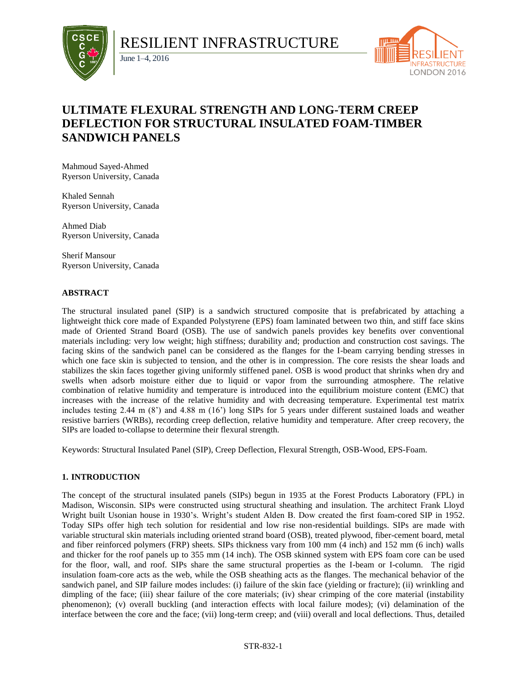

RESILIENT INFRASTRUCTURE



# **ULTIMATE FLEXURAL STRENGTH AND LONG-TERM CREEP DEFLECTION FOR STRUCTURAL INSULATED FOAM-TIMBER SANDWICH PANELS**

Mahmoud Sayed-Ahmed Ryerson University, Canada

June 1–4, 2016

Khaled Sennah Ryerson University, Canada

Ahmed Diab Ryerson University, Canada

Sherif Mansour Ryerson University, Canada

# **ABSTRACT**

The structural insulated panel (SIP) is a sandwich structured composite that is prefabricated by attaching a lightweight thick core made of Expanded Polystyrene (EPS) foam laminated between two thin, and stiff face skins made of Oriented Strand Board (OSB). The use of sandwich panels provides key benefits over conventional materials including: very low weight; high stiffness; durability and; production and construction cost savings. The facing skins of the sandwich panel can be considered as the flanges for the I-beam carrying bending stresses in which one face skin is subjected to tension, and the other is in compression. The core resists the shear loads and stabilizes the skin faces together giving uniformly stiffened panel. OSB is wood product that shrinks when dry and swells when adsorb moisture either due to liquid or vapor from the surrounding atmosphere. The relative combination of relative humidity and temperature is introduced into the equilibrium moisture content (EMC) that increases with the increase of the relative humidity and with decreasing temperature. Experimental test matrix includes testing 2.44 m (8') and 4.88 m (16') long SIPs for 5 years under different sustained loads and weather resistive barriers (WRBs), recording creep deflection, relative humidity and temperature. After creep recovery, the SIPs are loaded to-collapse to determine their flexural strength.

Keywords: Structural Insulated Panel (SIP), Creep Deflection, Flexural Strength, OSB-Wood, EPS-Foam.

# **1. INTRODUCTION**

The concept of the structural insulated panels (SIPs) begun in 1935 at the Forest Products Laboratory (FPL) in Madison, Wisconsin. SIPs were constructed using structural sheathing and insulation. The architect Frank Lloyd Wright built Usonian house in 1930's. Wright's student Alden B. Dow created the first foam-cored SIP in 1952. Today SIPs offer high tech solution for residential and low rise non-residential buildings. SIPs are made with variable structural skin materials including oriented strand board (OSB), treated plywood, fiber-cement board, metal and fiber reinforced polymers (FRP) sheets. SIPs thickness vary from 100 mm (4 inch) and 152 mm (6 inch) walls and thicker for the roof panels up to 355 mm (14 inch). The OSB skinned system with EPS foam core can be used for the floor, wall, and roof. SIPs share the same structural properties as the I-beam or I-column. The rigid insulation foam-core acts as the web, while the OSB sheathing acts as the flanges. The mechanical behavior of the sandwich panel, and SIP failure modes includes: (i) failure of the skin face (yielding or fracture); (ii) wrinkling and dimpling of the face; (iii) shear failure of the core materials; (iv) shear crimping of the core material (instability phenomenon); (v) overall buckling (and interaction effects with local failure modes); (vi) delamination of the interface between the core and the face; (vii) long-term creep; and (viii) overall and local deflections. Thus, detailed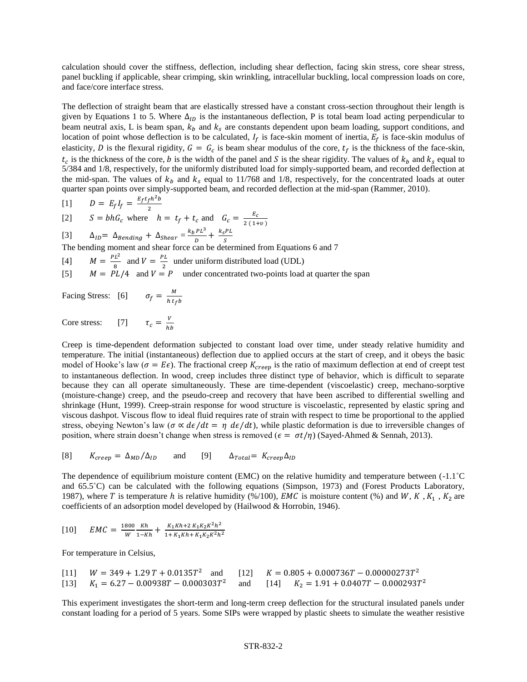calculation should cover the stiffness, deflection, including shear deflection, facing skin stress, core shear stress, panel buckling if applicable, shear crimping, skin wrinkling, intracellular buckling, local compression loads on core, and face/core interface stress.

The deflection of straight beam that are elastically stressed have a constant cross-section throughout their length is given by Equations 1 to 5. Where  $\Delta_{ID}$  is the instantaneous deflection, P is total beam load acting perpendicular to beam neutral axis, L is beam span,  $k_b$  and  $k_s$  are constants dependent upon beam loading, support conditions, and location of point whose deflection is to be calculated,  $I_f$  is face-skin moment of inertia,  $E_f$  is face-skin modulus of elasticity, D is the flexural rigidity,  $G = G_c$  is beam shear modulus of the core,  $t_f$  is the thickness of the face-skin,  $t_c$  is the thickness of the core, *b* is the width of the panel and *S* is the shear rigidity. The values of  $k_b$  and  $k_s$  equal to 5/384 and 1/8, respectively, for the uniformly distributed load for simply-supported beam, and recorded deflection at the mid-span. The values of  $k_b$  and  $k_s$  equal to 11/768 and 1/8, respectively, for the concentrated loads at outer quarter span points over simply-supported beam, and recorded deflection at the mid-span (Rammer, 2010).

$$
\begin{array}{lll}\n\text{[1]} & D = E_f I_f = \frac{E_f t_f h^2 b}{2} \\
\text{[2]} & S = bhG_c \text{ where } h = t_f + t_c \text{ and } G_c = \frac{E_c}{2(14)}\n\end{array}
$$

 $2(1+v)$ [3]  $\Delta_{ID} = \Delta_{Bending} + \Delta_{Shear} = \frac{k_b PL^3}{D}$  $\frac{PL^3}{D} + \frac{k_sPL}{S}$ 

S The bending moment and shear force can be determined from Equations 6 and 7

[4] 
$$
M = \frac{PL^2}{8}
$$
 and  $V = \frac{PL}{2}$  under uniform distributed load (UDL)

[5]  $M = PL/4$  and  $V = P$  under concentrated two-points load at quarter the span

Facing Stress: [6] M h t fb

Core stress: [7]  $\tau_c = \frac{V}{h l}$ ℎ

Creep is time-dependent deformation subjected to constant load over time, under steady relative humidity and temperature. The initial (instantaneous) deflection due to applied occurs at the start of creep, and it obeys the basic model of Hooke's law ( $\sigma = E\epsilon$ ). The fractional creep  $K_{creep}$  is the ratio of maximum deflection at end of creept test to instantaneous deflection. In wood, creep includes three distinct type of behavior, which is difficult to separate because they can all operate simultaneously. These are time-dependent (viscoelastic) creep, mechano-sorptive (moisture-change) creep, and the pseudo-creep and recovery that have been ascribed to differential swelling and shrinkage (Hunt, 1999). Creep-strain response for wood structure is viscoelastic, represented by elastic spring and viscous dashpot. Viscous flow to ideal fluid requires rate of strain with respect to time be proportional to the applied stress, obeying Newton's law ( $\sigma \propto d\epsilon/dt = \eta \, d\epsilon/dt$ ), while plastic deformation is due to irreversible changes of position, where strain doesn't change when stress is removed ( $\epsilon = \sigma t/\eta$ ) (Sayed-Ahmed & Sennah, 2013).

[8] 
$$
K_{creep} = \Delta_{MD} / \Delta_{ID}
$$
 and [9]  $\Delta_{Total} = K_{creep} \Delta_{ID}$ 

The dependence of equilibrium moisture content (EMC) on the relative humidity and temperature between (-1.1˚C and 65.5˚C) can be calculated with the following equations (Simpson, 1973) and (Forest Products Laboratory, 1987), where T is temperature h is relative humidity (%/100), EMC is moisture content (%) and W, K,  $K_1$ ,  $K_2$  are coefficients of an adsorption model developed by (Hailwood & Horrobin, 1946).

$$
[10] \qquad EMC = \frac{1800}{W} \frac{Kh}{1 - Kh} + \frac{K_1 Kh + 2K_1K_2K^2h^2}{1 + K_1Kh + K_1K_2K^2h^2}
$$

For temperature in Celsius,

|  | [11] $W = 349 + 1.29 T + 0.0135T^2$ and [12] $K = 0.805 + 0.000736T - 0.00000273T^2$     |
|--|------------------------------------------------------------------------------------------|
|  | [13] $K_1 = 6.27 - 0.00938T - 0.000303T^2$ and [14] $K_2 = 1.91 + 0.0407T - 0.000293T^2$ |

This experiment investigates the short-term and long-term creep deflection for the structural insulated panels under constant loading for a period of 5 years. Some SIPs were wrapped by plastic sheets to simulate the weather resistive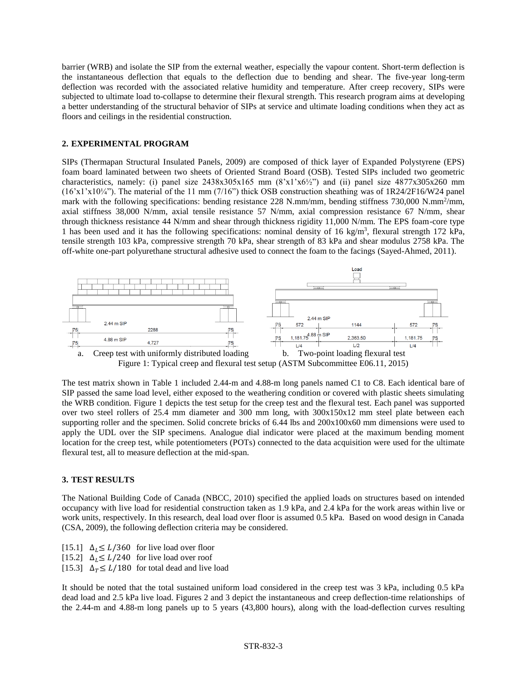barrier (WRB) and isolate the SIP from the external weather, especially the vapour content. Short-term deflection is the instantaneous deflection that equals to the deflection due to bending and shear. The five-year long-term deflection was recorded with the associated relative humidity and temperature. After creep recovery, SIPs were subjected to ultimate load to-collapse to determine their flexural strength. This research program aims at developing a better understanding of the structural behavior of SIPs at service and ultimate loading conditions when they act as floors and ceilings in the residential construction.

## **2. EXPERIMENTAL PROGRAM**

SIPs (Thermapan Structural Insulated Panels, 2009) are composed of thick layer of Expanded Polystyrene (EPS) foam board laminated between two sheets of Oriented Strand Board (OSB). Tested SIPs included two geometric characteristics, namely: (i) panel size  $2438x305x165$  mm  $(8'x1'x6/2'')$  and (ii) panel size  $4877x305x260$  mm (16'x1'x10¼"). The material of the 11 mm (7/16") thick OSB construction sheathing was of 1R24/2F16/W24 panel mark with the following specifications: bending resistance 228 N.mm/mm, bending stiffness 730,000 N.mm<sup>2</sup>/mm, axial stiffness 38,000 N/mm, axial tensile resistance 57 N/mm, axial compression resistance 67 N/mm, shear through thickness resistance 44 N/mm and shear through thickness rigidity 11,000 N/mm. The EPS foam-core type 1 has been used and it has the following specifications: nominal density of 16 kg/m<sup>3</sup>, flexural strength 172 kPa, tensile strength 103 kPa, compressive strength 70 kPa, shear strength of 83 kPa and shear modulus 2758 kPa. The off-white one-part polyurethane structural adhesive used to connect the foam to the facings (Sayed-Ahmed, 2011).



The test matrix shown in Table 1 included 2.44-m and 4.88-m long panels named C1 to C8. Each identical bare of SIP passed the same load level, either exposed to the weathering condition or covered with plastic sheets simulating the WRB condition. Figure 1 depicts the test setup for the creep test and the flexural test. Each panel was supported over two steel rollers of 25.4 mm diameter and 300 mm long, with 300x150x12 mm steel plate between each supporting roller and the specimen. Solid concrete bricks of 6.44 lbs and  $200x100x60$  mm dimensions were used to apply the UDL over the SIP specimens. Analogue dial indicator were placed at the maximum bending moment location for the creep test, while potentiometers (POTs) connected to the data acquisition were used for the ultimate flexural test, all to measure deflection at the mid-span.

#### **3. TEST RESULTS**

The National Building Code of Canada (NBCC, 2010) specified the applied loads on structures based on intended occupancy with live load for residential construction taken as 1.9 kPa, and 2.4 kPa for the work areas within live or work units, respectively. In this research, deal load over floor is assumed 0.5 kPa. Based on wood design in Canada (CSA, 2009), the following deflection criteria may be considered.

- [15.1]  $\Delta_l \le L/360$  for live load over floor [15.2]  $\Delta_l \le L/240$  for live load over roof
- [15.3]  $\Delta_T \leq L/180$  for total dead and live load

It should be noted that the total sustained uniform load considered in the creep test was 3 kPa, including 0.5 kPa dead load and 2.5 kPa live load. Figures 2 and 3 depict the instantaneous and creep deflection-time relationships of the 2.44-m and 4.88-m long panels up to 5 years (43,800 hours), along with the load-deflection curves resulting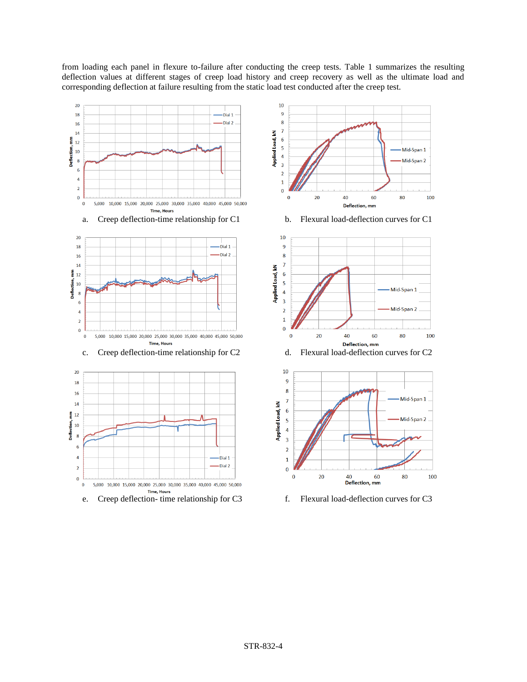from loading each panel in flexure to-failure after conducting the creep tests. Table 1 summarizes the resulting deflection values at different stages of creep load history and creep recovery as well as the ultimate load and corresponding deflection at failure resulting from the static load test conducted after the creep test.

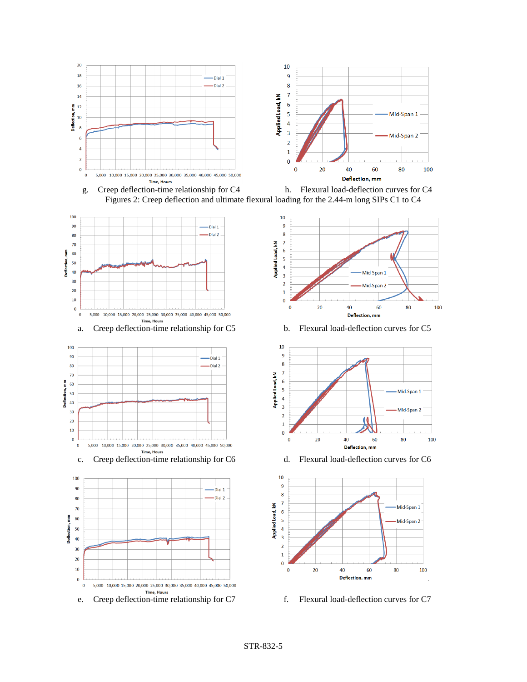

g. Creep deflection-time relationship for C4 h. Flexural load-deflection curves for C4 Figures 2: Creep deflection and ultimate flexural loading for the 2.44-m long SIPs C1 to C4











c. Creep deflection-time relationship for C6 d. Flexural load-deflection curves for C6

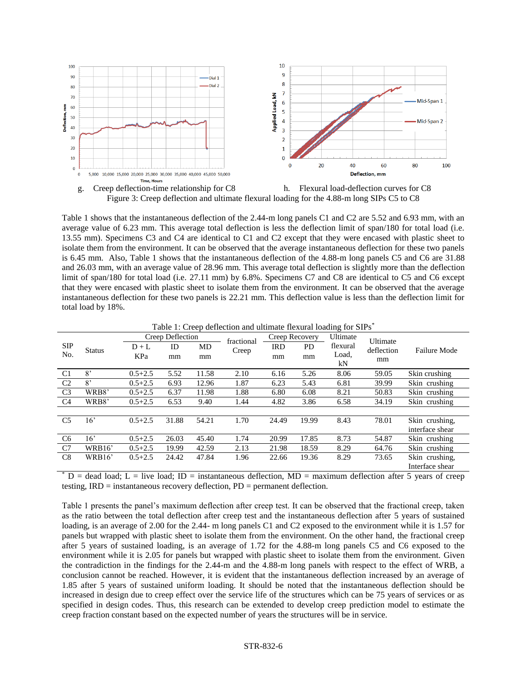



Table 1 shows that the instantaneous deflection of the 2.44-m long panels C1 and C2 are 5.52 and 6.93 mm, with an average value of 6.23 mm. This average total deflection is less the deflection limit of span/180 for total load (i.e. 13.55 mm). Specimens C3 and C4 are identical to C1 and C2 except that they were encased with plastic sheet to isolate them from the environment. It can be observed that the average instantaneous deflection for these two panels is 6.45 mm. Also, Table 1 shows that the instantaneous deflection of the 4.88-m long panels C5 and C6 are 31.88 and 26.03 mm, with an average value of 28.96 mm. This average total deflection is slightly more than the deflection limit of span/180 for total load (i.e. 27.11 mm) by 6.8%. Specimens C7 and C8 are identical to C5 and C6 except that they were encased with plastic sheet to isolate them from the environment. It can be observed that the average instantaneous deflection for these two panels is 22.21 mm. This deflection value is less than the deflection limit for total load by 18%.

| Table 1. Creep deflection and unimate flexural loading for SIFS |               |                          |       |            |                |            |          |          |            |                     |  |
|-----------------------------------------------------------------|---------------|--------------------------|-------|------------|----------------|------------|----------|----------|------------|---------------------|--|
|                                                                 | <b>Status</b> | Creep Deflection         |       | fractional | Creep Recovery |            | Ultimate | Ultimate |            |                     |  |
| <b>SIP</b><br>No.                                               |               | ID<br>$D+L$<br>KPa<br>mm |       | MD<br>mm   | Creep          | <b>IRD</b> | PD.      | flexural | deflection | <b>Failure Mode</b> |  |
|                                                                 |               |                          |       |            |                | mm<br>mm   | Load,    | mm       |            |                     |  |
|                                                                 |               |                          |       |            |                |            |          | kN       |            |                     |  |
| C <sub>1</sub>                                                  | 8'            | $0.5 + 2.5$              | 5.52  | 11.58      | 2.10           | 6.16       | 5.26     | 8.06     | 59.05      | Skin crushing       |  |
| C <sub>2</sub>                                                  | 8'            | $0.5 + 2.5$              | 6.93  | 12.96      | 1.87           | 6.23       | 5.43     | 6.81     | 39.99      | Skin crushing       |  |
| C <sub>3</sub>                                                  | WRB8'         | $0.5 + 2.5$              | 6.37  | 11.98      | 1.88           | 6.80       | 6.08     | 8.21     | 50.83      | Skin crushing       |  |
| C <sub>4</sub>                                                  | WRB8'         | $0.5 + 2.5$              | 6.53  | 9.40       | 1.44           | 4.82       | 3.86     | 6.58     | 34.19      | Skin crushing       |  |
|                                                                 |               |                          |       |            |                |            |          |          |            |                     |  |
| C <sub>5</sub>                                                  | 16'           | $0.5 + 2.5$              | 31.88 | 54.21      | 1.70           | 24.49      | 19.99    | 8.43     | 78.01      | Skin crushing.      |  |
|                                                                 |               |                          |       |            |                |            |          |          |            | interface shear     |  |
| C <sub>6</sub>                                                  | 16'           | $0.5 + 2.5$              | 26.03 | 45.40      | 1.74           | 20.99      | 17.85    | 8.73     | 54.87      | Skin crushing       |  |
| C7                                                              | WRB16'        | $0.5 + 2.5$              | 19.99 | 42.59      | 2.13           | 21.98      | 18.59    | 8.29     | 64.76      | Skin crushing       |  |
| C8                                                              | WRB16'        | $0.5 + 2.5$              | 24.42 | 47.84      | 1.96           | 22.66      | 19.36    | 8.29     | 73.65      | Skin crushing,      |  |
|                                                                 |               |                          |       |            |                |            |          |          |            | Interface shear     |  |

 $Table 1: *Cucon definition and ultimate formula* leading for  $SIDs^*$$ 

 $D =$  dead load; L = live load; ID = instantaneous deflection, MD = maximum deflection after 5 years of creep testing, IRD = instantaneous recovery deflection, PD = permanent deflection.

Table 1 presents the panel's maximum deflection after creep test. It can be observed that the fractional creep, taken as the ratio between the total deflection after creep test and the instantaneous deflection after 5 years of sustained loading, is an average of 2.00 for the 2.44- m long panels C1 and C2 exposed to the environment while it is 1.57 for panels but wrapped with plastic sheet to isolate them from the environment. On the other hand, the fractional creep after 5 years of sustained loading, is an average of 1.72 for the 4.88-m long panels C5 and C6 exposed to the environment while it is 2.05 for panels but wrapped with plastic sheet to isolate them from the environment. Given the contradiction in the findings for the 2.44-m and the 4.88-m long panels with respect to the effect of WRB, a conclusion cannot be reached. However, it is evident that the instantaneous deflection increased by an average of 1.85 after 5 years of sustained uniform loading. It should be noted that the instantaneous deflection should be increased in design due to creep effect over the service life of the structures which can be 75 years of services or as specified in design codes. Thus, this research can be extended to develop creep prediction model to estimate the creep fraction constant based on the expected number of years the structures will be in service.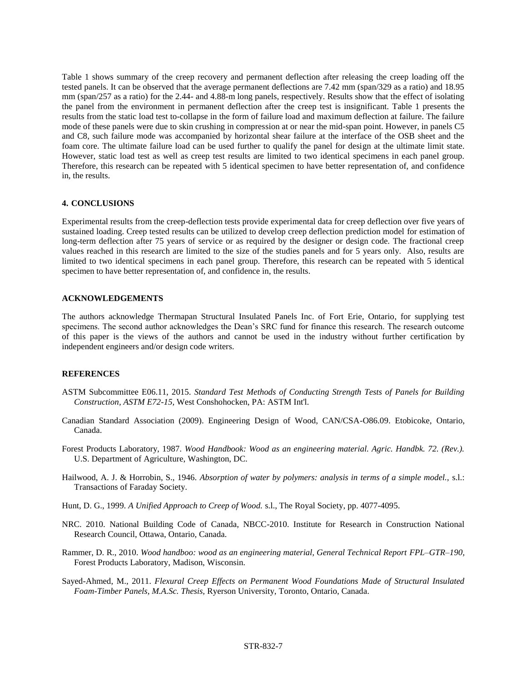Table 1 shows summary of the creep recovery and permanent deflection after releasing the creep loading off the tested panels. It can be observed that the average permanent deflections are 7.42 mm (span/329 as a ratio) and 18.95 mm (span/257 as a ratio) for the 2.44- and 4.88-m long panels, respectively. Results show that the effect of isolating the panel from the environment in permanent deflection after the creep test is insignificant. Table 1 presents the results from the static load test to-collapse in the form of failure load and maximum deflection at failure. The failure mode of these panels were due to skin crushing in compression at or near the mid-span point. However, in panels C5 and C8, such failure mode was accompanied by horizontal shear failure at the interface of the OSB sheet and the foam core. The ultimate failure load can be used further to qualify the panel for design at the ultimate limit state. However, static load test as well as creep test results are limited to two identical specimens in each panel group. Therefore, this research can be repeated with 5 identical specimen to have better representation of, and confidence in, the results.

#### **4. CONCLUSIONS**

Experimental results from the creep-deflection tests provide experimental data for creep deflection over five years of sustained loading. Creep tested results can be utilized to develop creep deflection prediction model for estimation of long-term deflection after 75 years of service or as required by the designer or design code. The fractional creep values reached in this research are limited to the size of the studies panels and for 5 years only. Also, results are limited to two identical specimens in each panel group. Therefore, this research can be repeated with 5 identical specimen to have better representation of, and confidence in, the results.

## **ACKNOWLEDGEMENTS**

The authors acknowledge Thermapan Structural Insulated Panels Inc. of Fort Erie, Ontario, for supplying test specimens. The second author acknowledges the Dean's SRC fund for finance this research. The research outcome of this paper is the views of the authors and cannot be used in the industry without further certification by independent engineers and/or design code writers.

## **REFERENCES**

- ASTM Subcommittee E06.11, 2015. *Standard Test Methods of Conducting Strength Tests of Panels for Building Construction, ASTM E72-15,* West Conshohocken, PA: ASTM Int'l.
- Canadian Standard Association (2009). Engineering Design of Wood, CAN/CSA-O86.09. Etobicoke, Ontario, Canada.
- Forest Products Laboratory, 1987. *Wood Handbook: Wood as an engineering material. Agric. Handbk. 72. (Rev.).*  U.S. Department of Agriculture, Washington, DC.
- Hailwood, A. J. & Horrobin, S., 1946. *Absorption of water by polymers: analysis in terms of a simple model.,* s.l.: Transactions of Faraday Society.
- Hunt, D. G., 1999. *A Unified Approach to Creep of Wood.* s.l., The Royal Society, pp. 4077-4095.
- NRC. 2010. National Building Code of Canada, NBCC-2010. Institute for Research in Construction National Research Council, Ottawa, Ontario, Canada.
- Rammer, D. R., 2010. *Wood handboo: wood as an engineering material, General Technical Report FPL–GTR–190,*  Forest Products Laboratory, Madison, Wisconsin.
- Sayed-Ahmed, M., 2011. *Flexural Creep Effects on Permanent Wood Foundations Made of Structural Insulated Foam-Timber Panels, M.A.Sc. Thesis,* Ryerson University, Toronto, Ontario, Canada.